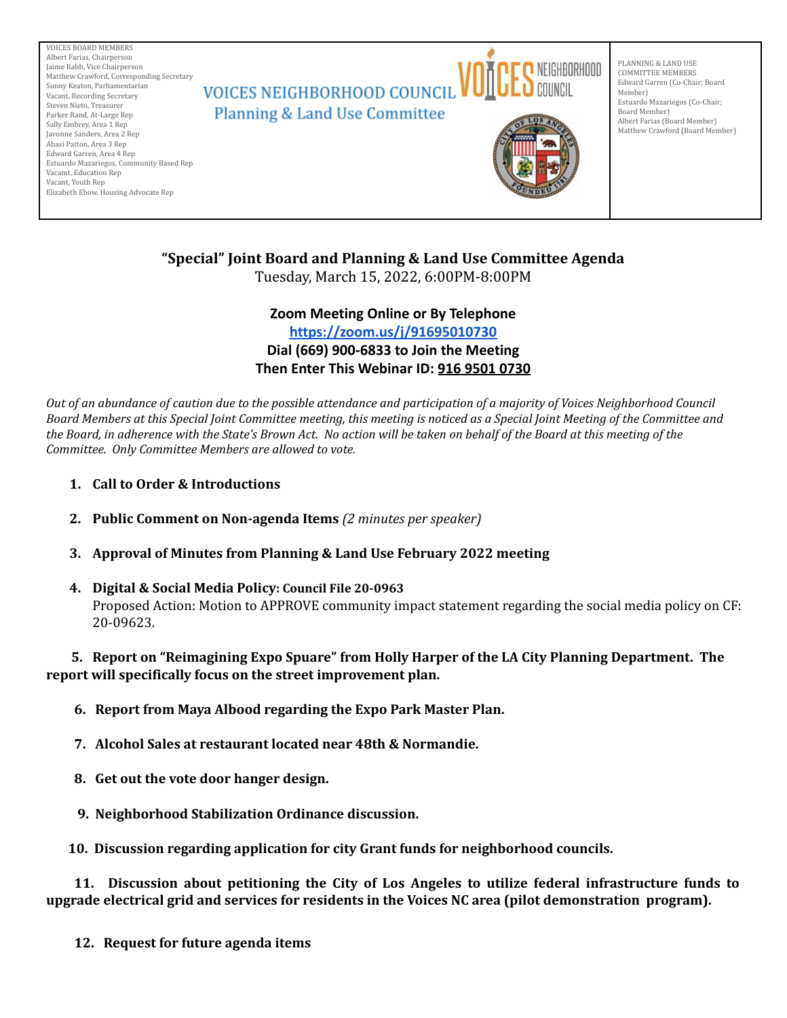

# **"Special" Joint Board and Planning & Land Use Committee Agenda**

Tuesday, March 15, 2022, 6:00PM-8:00PM

## **Zoom Meeting Online or By Telephone <https://zoom.us/j/91695010730> Dial (669) 900-6833 to Join the Meeting Then Enter This Webinar ID: 916 9501 0730**

Out of an abundance of caution due to the possible attendance and participation of a majority of Voices Neighborhood Council Board Members at this Special Joint Committee meeting, this meeting is noticed as a Special Joint Meeting of the Committee and the Board, in adherence with the State's Brown Act. No action will be taken on behalf of the Board at this meeting of the *Committee. Only Committee Members are allowed to vote.*

- **1. Call to Order & Introductions**
- **2. Public Comment on Non-agenda Items** *(2 minutes per speaker)*
- **3. Approval of Minutes from Planning & Land Use February 2022 meeting**
- **4. Digital & Social Media Policy: Council File 20-0963** Proposed Action: Motion to APPROVE community impact statement regarding the social media policy on CF: 20-09623.

## **5. Report on "Reimagining Expo Spuare" from Holly Harper of the LA City Planning Department. The report will specifically focus on the street improvement plan.**

- **6. Report from Maya Albood regarding the Expo Park Master Plan.**
- **7. Alcohol Sales at restaurant located near 48th & Normandie.**
- **8. Get out the vote door hanger design.**
- **9. Neighborhood Stabilization Ordinance discussion.**

**10. Discussion regarding application for city Grant funds for neighborhood councils.**

**11. Discussion about petitioning the City of Los Angeles to utilize federal infrastructure funds to upgrade electrical grid and services for residents in the Voices NC area (pilot demonstration program).**

**12. Request for future agenda items**